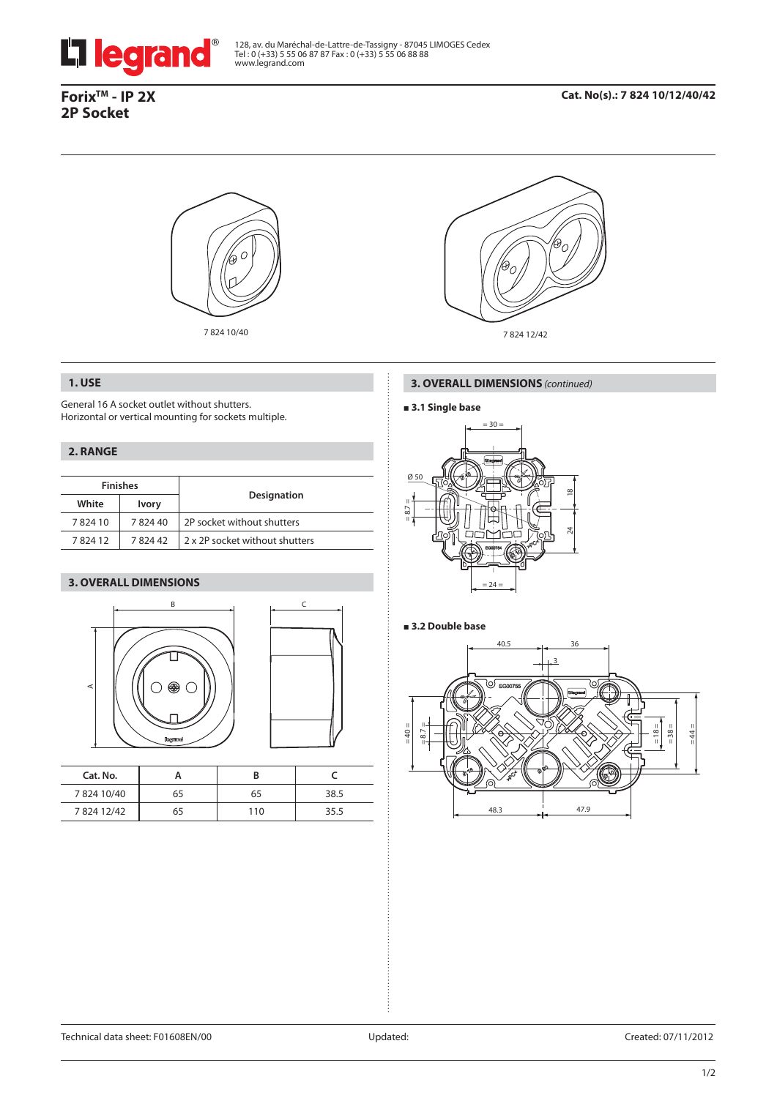

128, av. du Maréchal-de-Lattre-de-Tassigny - 87045 LIMOGES Cedex<br>Tel : 0 (+33) 5 55 06 87 87 Fax : 0 (+33) 5 55 06 88 88<br>www.legrand.com

# **ForixTM - IP 2X 2P Socket**





# **1. USE**

General 16 A socket outlet without shutters. Horizontal or vertical mounting for sockets multiple.

# **2. RANGE**

| <b>Finishes</b> |              |                                |  |
|-----------------|--------------|--------------------------------|--|
| White           | <b>Ivory</b> | <b>Designation</b>             |  |
| 782410          | 782440       | 2P socket without shutters     |  |
| 782412          | 782442       | 2 x 2P socket without shutters |  |

## **3. OVERALL DIMENSIONS**





| Cat. No.  |    |     |      |
|-----------|----|-----|------|
| 782410/40 | 65 | 65  | 38.5 |
| 782412/42 | 65 | 110 | 35.5 |

#### **3. OVERALL DIMENSIONS** *(continued)*

## **3.1 Single base**



## **3.2 Double base**